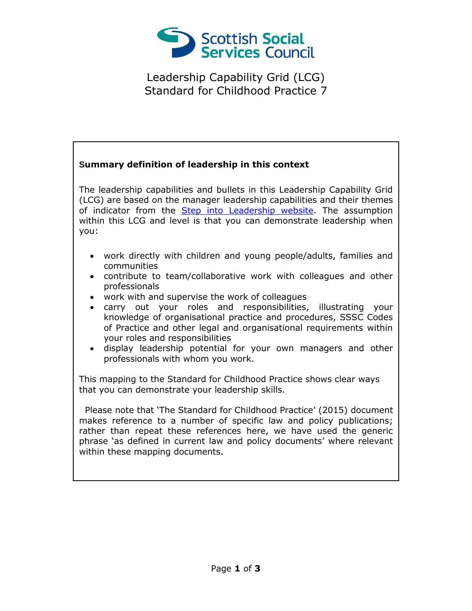

Leadership Capability Grid (LCG) Standard for Childhood Practice 7

## **Summary definition of leadership in this context**

The leadership capabilities and bullets in this Leadership Capability Grid (LCG) are based on the manager leadership capabilities and their themes of indicator from the [Step into Leadership website.](http://www.stepintoleadership.info/) The assumption within this LCG and level is that you can demonstrate leadership when you:

- work directly with children and young people/adults, families and communities
- contribute to team/collaborative work with colleagues and other professionals
- work with and supervise the work of colleagues
- carry out your roles and responsibilities, illustrating your knowledge of organisational practice and procedures, SSSC Codes of Practice and other legal and organisational requirements within your roles and responsibilities
- display leadership potential for your own managers and other professionals with whom you work.

This mapping to the Standard for Childhood Practice shows clear ways that you can demonstrate your leadership skills.

 Please note that 'The Standard for Childhood Practice' (2015) document makes reference to a number of specific law and policy publications; rather than repeat these references here, we have used the generic phrase 'as defined in current law and policy documents' where relevant within these mapping documents.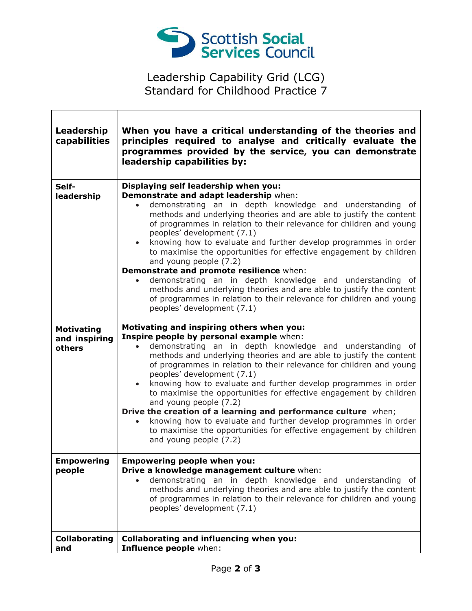

## Leadership Capability Grid (LCG) Standard for Childhood Practice 7

| Leadership<br>capabilities                   | When you have a critical understanding of the theories and<br>principles required to analyse and critically evaluate the<br>programmes provided by the service, you can demonstrate<br>leadership capabilities by:                                                                                                                                                                                                                                                                                                                                                                                                                                                                                                                                                                           |
|----------------------------------------------|----------------------------------------------------------------------------------------------------------------------------------------------------------------------------------------------------------------------------------------------------------------------------------------------------------------------------------------------------------------------------------------------------------------------------------------------------------------------------------------------------------------------------------------------------------------------------------------------------------------------------------------------------------------------------------------------------------------------------------------------------------------------------------------------|
| Self-<br>leadership                          | Displaying self leadership when you:<br>Demonstrate and adapt leadership when:<br>demonstrating an in depth knowledge and understanding of<br>$\bullet$<br>methods and underlying theories and are able to justify the content<br>of programmes in relation to their relevance for children and young<br>peoples' development (7.1)<br>• knowing how to evaluate and further develop programmes in order<br>to maximise the opportunities for effective engagement by children<br>and young people (7.2)<br>Demonstrate and promote resilience when:<br>demonstrating an in depth knowledge and understanding of<br>methods and underlying theories and are able to justify the content<br>of programmes in relation to their relevance for children and young<br>peoples' development (7.1) |
| <b>Motivating</b><br>and inspiring<br>others | Motivating and inspiring others when you:<br>Inspire people by personal example when:<br>demonstrating an in depth knowledge and understanding of<br>methods and underlying theories and are able to justify the content<br>of programmes in relation to their relevance for children and young<br>peoples' development (7.1)<br>knowing how to evaluate and further develop programmes in order<br>to maximise the opportunities for effective engagement by children<br>and young people (7.2)<br>Drive the creation of a learning and performance culture when;<br>knowing how to evaluate and further develop programmes in order<br>to maximise the opportunities for effective engagement by children<br>and young people (7.2)                                                        |
| <b>Empowering</b><br>people                  | <b>Empowering people when you:</b><br>Drive a knowledge management culture when:<br>demonstrating an in depth knowledge and understanding of<br>methods and underlying theories and are able to justify the content<br>of programmes in relation to their relevance for children and young<br>peoples' development (7.1)                                                                                                                                                                                                                                                                                                                                                                                                                                                                     |
| <b>Collaborating</b><br>and                  | <b>Collaborating and influencing when you:</b><br>Influence people when:                                                                                                                                                                                                                                                                                                                                                                                                                                                                                                                                                                                                                                                                                                                     |